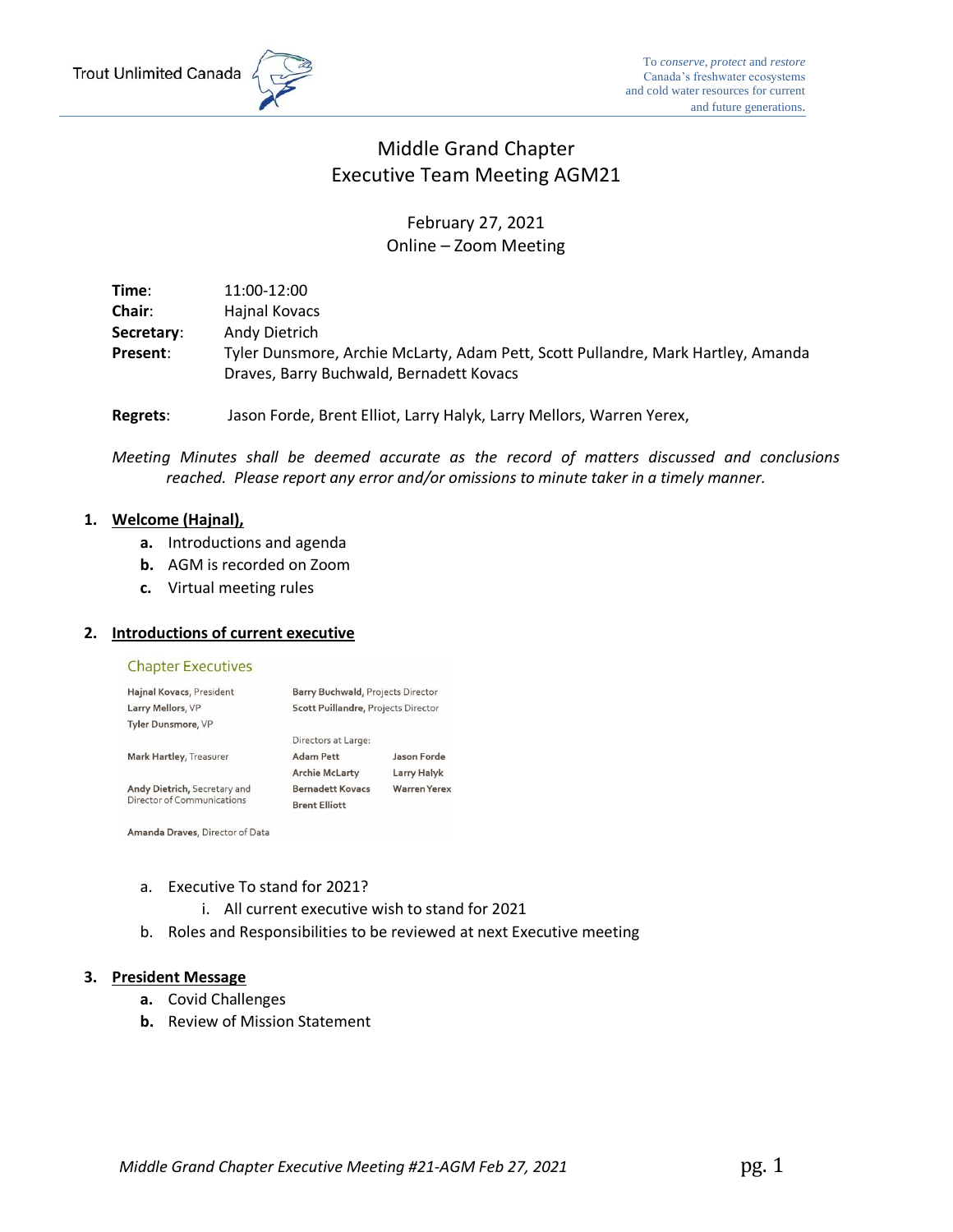

# Middle Grand Chapter Executive Team Meeting AGM21

## February 27, 2021 Online – Zoom Meeting

**Time**: 11:00-12:00 **Chair**: Hajnal Kovacs **Secretary**: Andy Dietrich **Present**: Tyler Dunsmore, Archie McLarty, Adam Pett, Scott Pullandre, Mark Hartley, Amanda Draves, Barry Buchwald, Bernadett Kovacs

**Regrets**: Jason Forde, Brent Elliot, Larry Halyk, Larry Mellors, Warren Yerex,

*Meeting Minutes shall be deemed accurate as the record of matters discussed and conclusions reached. Please report any error and/or omissions to minute taker in a timely manner.*

## **1. Welcome (Hajnal),**

- **a.** Introductions and agenda
- **b.** AGM is recorded on Zoom
- **c.** Virtual meeting rules

## **2. Introductions of current executive**

### **Chapter Executives**

| Hajnal Kovacs, President                                   | <b>Barry Buchwald, Projects Director</b> |                    |  |  |
|------------------------------------------------------------|------------------------------------------|--------------------|--|--|
| Larry Mellors, VP                                          | Scott Puillandre, Projects Director      |                    |  |  |
| <b>Tyler Dunsmore, VP</b>                                  |                                          |                    |  |  |
|                                                            | Directors at Large:                      |                    |  |  |
| Mark Hartley, Treasurer                                    | <b>Adam Pett</b>                         | Jason Forde        |  |  |
|                                                            | <b>Archie McLarty</b>                    | Larry Halyk        |  |  |
| Andy Dietrich, Secretary and<br>Director of Communications | <b>Bernadett Kovacs</b>                  | <b>Warren Yere</b> |  |  |
|                                                            | <b>Brent Elliott</b>                     |                    |  |  |

Amanda Draves, Director of Data

### a. Executive To stand for 2021?

- i. All current executive wish to stand for 2021
- b. Roles and Responsibilities to be reviewed at next Executive meeting

### **3. President Message**

- **a.** Covid Challenges
- **b.** Review of Mission Statement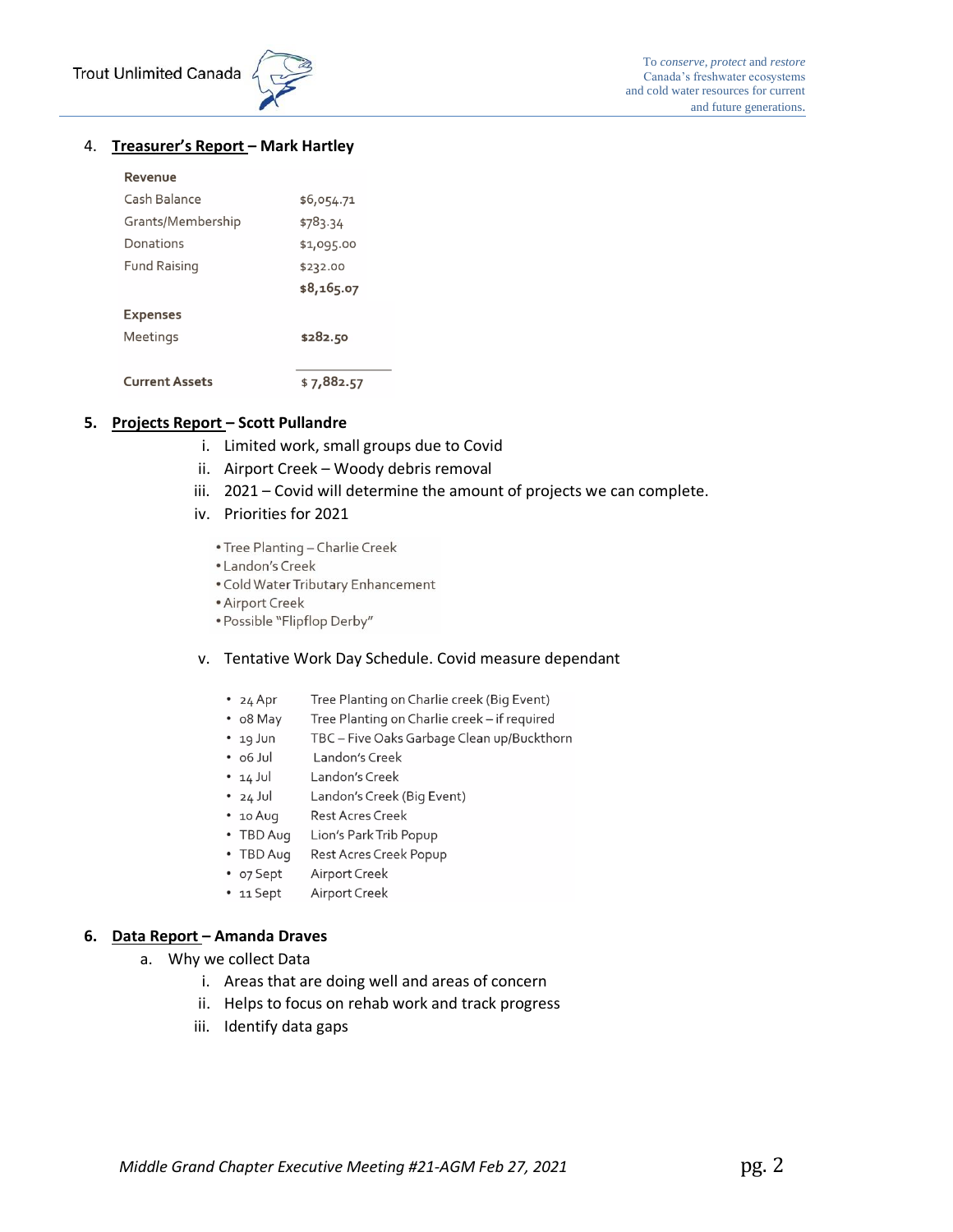

## 4. **Treasurer's Report – Mark Hartley**

### Revenue

| Cash Balance          | \$6,054.71  |  |  |
|-----------------------|-------------|--|--|
| Grants/Membership     | \$783.34    |  |  |
| Donations             | \$1,095.00  |  |  |
| <b>Fund Raising</b>   | \$232.00    |  |  |
|                       | \$8,165.07  |  |  |
| <b>Expenses</b>       |             |  |  |
| Meetings              | \$282.50    |  |  |
|                       |             |  |  |
| <b>Current Assets</b> | \$ 7,882.57 |  |  |

## **5. Projects Report – Scott Pullandre**

- i. Limited work, small groups due to Covid
- ii. Airport Creek Woody debris removal
- iii. 2021 Covid will determine the amount of projects we can complete.
- iv. Priorities for 2021
	- Tree Planting Charlie Creek
	- Landon's Creek
	- . Cold Water Tributary Enhancement
	- Airport Creek
	- · Possible "Flipflop Derby"

## v. Tentative Work Day Schedule. Covid measure dependant

- $\cdot$  24 Apr Tree Planting on Charlie creek (Big Event)
- o8 May Tree Planting on Charlie creek - if required
- TBC Five Oaks Garbage Clean up/Buckthorn  $\cdot$  19 Jun
- $\cdot$  06 Jul Landon's Creek
- $\cdot$  14 Jul Landon's Creek
- $\cdot$  24 Jul Landon's Creek (Big Event)
- $10$  Aug Rest Acres Creek
- TBD Aug Lion's Park Trib Popup
- TBD Aug Rest Acres Creek Popup
- Airport Creek • o7 Sept
- 11 Sept Airport Creek

## **6. Data Report – Amanda Draves**

- a. Why we collect Data
	- i. Areas that are doing well and areas of concern
	- ii. Helps to focus on rehab work and track progress
	- iii. Identify data gaps